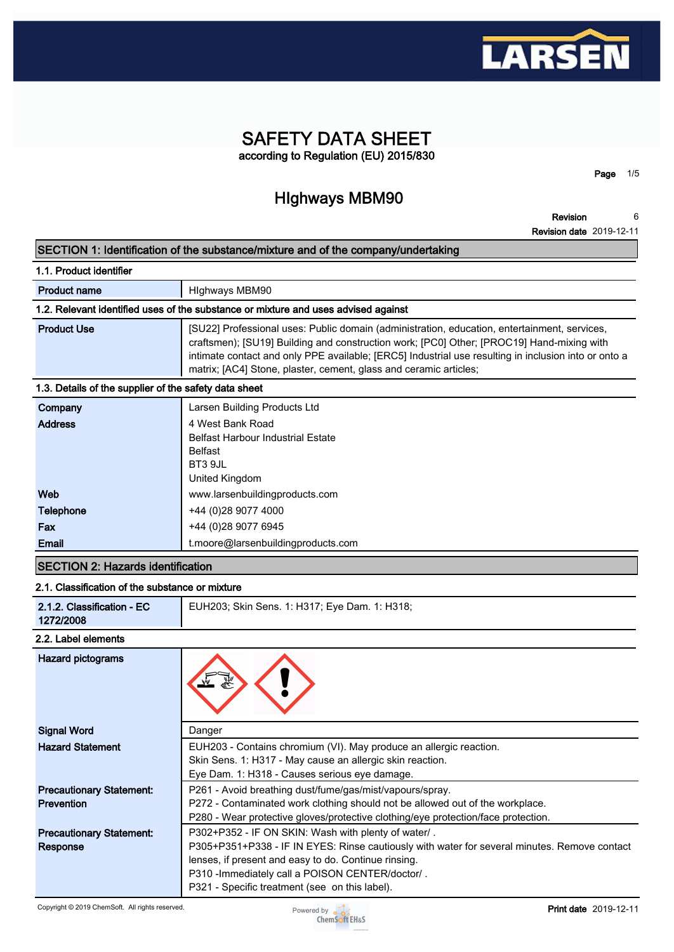

# **SAFETY DATA SHEET according to Regulation (EU) 2015/830**

**HIghways MBM90**

**Revision 6**

**Page 1/5**

**Revision date 2019-12-11**

# **SECTION 1: Identification of the substance/mixture and of the company/undertaking**

| 1.1. Product identifier                               |                                                                                                                                                                                                                                                                                                                                                                        |  |  |
|-------------------------------------------------------|------------------------------------------------------------------------------------------------------------------------------------------------------------------------------------------------------------------------------------------------------------------------------------------------------------------------------------------------------------------------|--|--|
| <b>Product name</b>                                   | Highways MBM90                                                                                                                                                                                                                                                                                                                                                         |  |  |
|                                                       | 1.2. Relevant identified uses of the substance or mixture and uses advised against                                                                                                                                                                                                                                                                                     |  |  |
| <b>Product Use</b>                                    | [SU22] Professional uses: Public domain (administration, education, entertainment, services,<br>craftsmen); [SU19] Building and construction work; [PC0] Other; [PROC19] Hand-mixing with<br>intimate contact and only PPE available; [ERC5] Industrial use resulting in inclusion into or onto a<br>matrix; [AC4] Stone, plaster, cement, glass and ceramic articles; |  |  |
| 1.3. Details of the supplier of the safety data sheet |                                                                                                                                                                                                                                                                                                                                                                        |  |  |
| Company                                               | Larsen Building Products Ltd                                                                                                                                                                                                                                                                                                                                           |  |  |
| <b>Address</b>                                        | 1 West Rank Road                                                                                                                                                                                                                                                                                                                                                       |  |  |

| <b>Address</b>   | 4 West Bank Road                         |
|------------------|------------------------------------------|
|                  | <b>Belfast Harbour Industrial Estate</b> |
|                  | <b>Belfast</b>                           |
|                  | BT3 9JL                                  |
|                  | United Kingdom                           |
| Web              | www.larsenbuildingproducts.com           |
| <b>Telephone</b> | +44 (0)28 9077 4000                      |
| Fax              | +44 (0)28 9077 6945                      |
| Email            | t.moore@larsenbuildingproducts.com       |

## **SECTION 2: Hazards identification**

#### **2.1. Classification of the substance or mixture**

| 2.1.2. Classification - EC<br>EUH203; Skin Sens. 1: H317; Eye Dam. 1: H318;<br>1272/2008 |
|------------------------------------------------------------------------------------------|
|------------------------------------------------------------------------------------------|

#### **2.2. Label elements**

| Hazard pictograms                                    |                                                                                                                                                                                                                                                                                                                   |
|------------------------------------------------------|-------------------------------------------------------------------------------------------------------------------------------------------------------------------------------------------------------------------------------------------------------------------------------------------------------------------|
| <b>Signal Word</b>                                   | Danger                                                                                                                                                                                                                                                                                                            |
| <b>Hazard Statement</b>                              | EUH203 - Contains chromium (VI). May produce an allergic reaction.<br>Skin Sens. 1: H317 - May cause an allergic skin reaction.<br>Eye Dam. 1: H318 - Causes serious eye damage.                                                                                                                                  |
| <b>Precautionary Statement:</b><br><b>Prevention</b> | P261 - Avoid breathing dust/fume/gas/mist/vapours/spray.<br>P272 - Contaminated work clothing should not be allowed out of the workplace.<br>P280 - Wear protective gloves/protective clothing/eye protection/face protection.                                                                                    |
| <b>Precautionary Statement:</b><br>Response          | P302+P352 - IF ON SKIN: Wash with plenty of water/.<br>P305+P351+P338 - IF IN EYES: Rinse cautiously with water for several minutes. Remove contact<br>lenses, if present and easy to do. Continue rinsing.<br>P310 - Immediately call a POISON CENTER/doctor/.<br>P321 - Specific treatment (see on this label). |

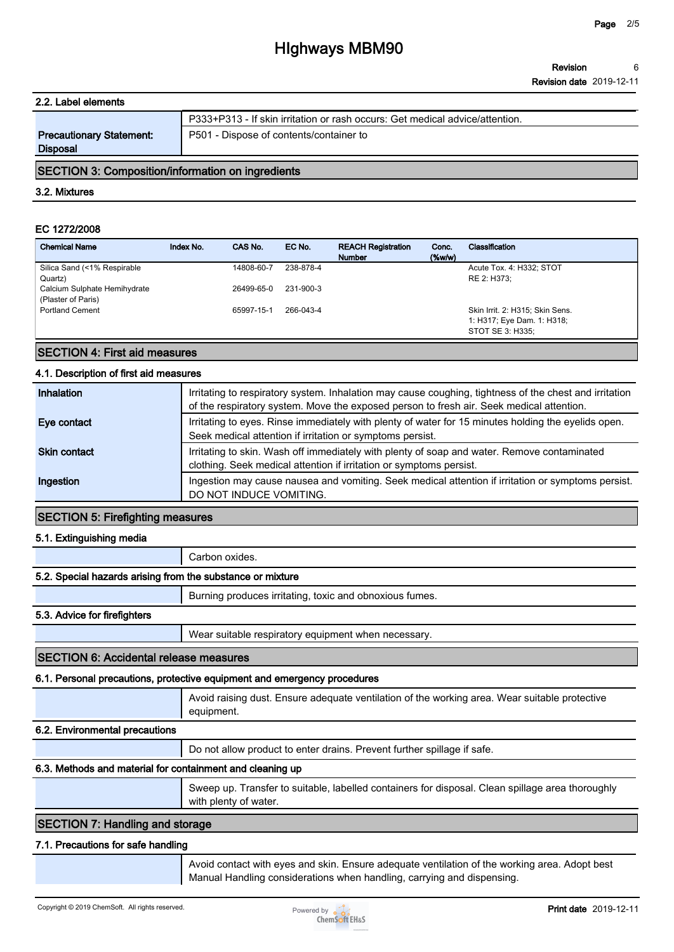# **2.2. Label elements P333+P313 - If skin irritation or rash occurs: Get medical advice/attention. Precautionary Statement: Disposal P501 - Dispose of contents/container to**

## **SECTION 3: Composition/information on ingredients**

#### **3.2. Mixtures**

## **EC 1272/2008**

| <b>Chemical Name</b>                               | Index No. | CAS No.    | EC No.    | <b>REACH Registration</b><br><b>Number</b> | Conc.<br>$(\%w/w)$ | Classification                                                                    |
|----------------------------------------------------|-----------|------------|-----------|--------------------------------------------|--------------------|-----------------------------------------------------------------------------------|
| Silica Sand (<1% Respirable<br>Quartz)             |           | 14808-60-7 | 238-878-4 |                                            |                    | Acute Tox. 4: H332; STOT<br>RE 2: H373:                                           |
| Calcium Sulphate Hemihydrate<br>(Plaster of Paris) |           | 26499-65-0 | 231-900-3 |                                            |                    |                                                                                   |
| <b>Portland Cement</b>                             |           | 65997-15-1 | 266-043-4 |                                            |                    | Skin Irrit. 2: H315; Skin Sens.<br>1: H317; Eye Dam. 1: H318;<br>STOT SE 3: H335: |

#### **SECTION 4: First aid measures**

#### **4.1. Description of first aid measures**

| Inhalation          | Irritating to respiratory system. Inhalation may cause coughing, tightness of the chest and irritation<br>of the respiratory system. Move the exposed person to fresh air. Seek medical attention. |
|---------------------|----------------------------------------------------------------------------------------------------------------------------------------------------------------------------------------------------|
| Eye contact         | Irritating to eyes. Rinse immediately with plenty of water for 15 minutes holding the eyelids open.<br>Seek medical attention if irritation or symptoms persist.                                   |
| <b>Skin contact</b> | Irritating to skin. Wash off immediately with plenty of soap and water. Remove contaminated<br>clothing. Seek medical attention if irritation or symptoms persist.                                 |
| Ingestion           | Ingestion may cause nausea and vomiting. Seek medical attention if irritation or symptoms persist.<br>DO NOT INDUCE VOMITING.                                                                      |

#### **SECTION 5: Firefighting measures**

#### **5.1. Extinguishing media**

**Carbon oxides.**

#### **5.2. Special hazards arising from the substance or mixture**

**Burning produces irritating, toxic and obnoxious fumes.**

#### **5.3. Advice for firefighters**

**Wear suitable respiratory equipment when necessary.**

#### **SECTION 6: Accidental release measures**

#### **6.1. Personal precautions, protective equipment and emergency procedures**

**Avoid raising dust. Ensure adequate ventilation of the working area. Wear suitable protective equipment.**

#### **6.2. Environmental precautions**

**Do not allow product to enter drains. Prevent further spillage if safe.**

# **6.3. Methods and material for containment and cleaning up**

**Sweep up. Transfer to suitable, labelled containers for disposal. Clean spillage area thoroughly with plenty of water.**

## **SECTION 7: Handling and storage**

#### **7.1. Precautions for safe handling**

**Avoid contact with eyes and skin. Ensure adequate ventilation of the working area. Adopt best Manual Handling considerations when handling, carrying and dispensing.**

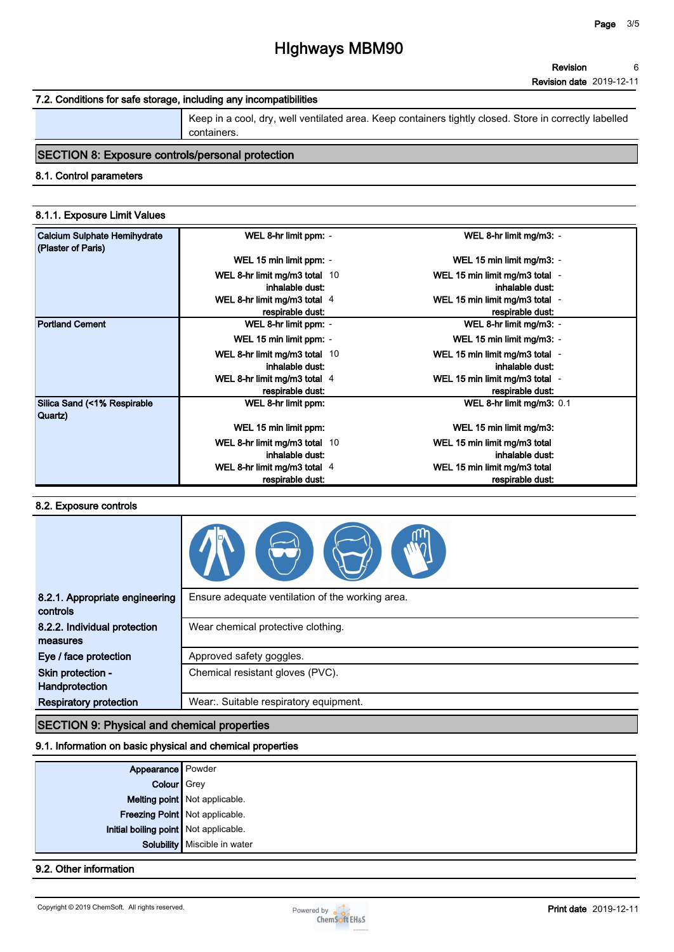# **7.2. Conditions for safe storage, including any incompatibilities**

**Keep in a cool, dry, well ventilated area. Keep containers tightly closed. Store in correctly labelled containers.**

# **SECTION 8: Exposure controls/personal protection**

### **8.1. Control parameters**

#### **8.1.1. Exposure Limit Values**

| <b>Calcium Sulphate Hemihydrate</b><br>(Plaster of Paris) | WEL 8-hr limit ppm: -                              | WEL 8-hr limit mg/m3: -                            |
|-----------------------------------------------------------|----------------------------------------------------|----------------------------------------------------|
|                                                           | WEL 15 min limit ppm: -                            | WEL 15 min limit mg/m3: -                          |
|                                                           | WEL 8-hr limit mg/m3 total 10<br>inhalable dust:   | WEL 15 min limit mg/m3 total -<br>inhalable dust:  |
|                                                           | WEL 8-hr limit mg/m3 total 4<br>respirable dust:   | WEL 15 min limit mg/m3 total -<br>respirable dust: |
| <b>Portland Cement</b>                                    | WEL 8-hr limit ppm: -                              | WEL 8-hr limit mg/m3: -                            |
|                                                           | WEL 15 min limit ppm: -                            | WEL 15 min limit mg/m3: -                          |
|                                                           | WEL 8-hr limit mg/m3 total 10<br>inhalable dust:   | WEL 15 min limit mg/m3 total -<br>inhalable dust:  |
|                                                           | WEL 8-hr limit mg/m3 total 4<br>respirable dust:   | WEL 15 min limit mg/m3 total -<br>respirable dust: |
| Silica Sand (<1% Respirable<br>Quartz)                    | WEL 8-hr limit ppm:                                | WEL 8-hr limit mg/m3: 0.1                          |
|                                                           | WEL 15 min limit ppm:                              | WEL 15 min limit mg/m3:                            |
|                                                           | WEL 8-hr limit mg/m3 total $10$<br>inhalable dust: | WEL 15 min limit mg/m3 total<br>inhalable dust:    |
|                                                           | WEL 8-hr limit mg/m3 total 4<br>respirable dust:   | WEL 15 min limit mg/m3 total<br>respirable dust:   |

### **8.2. Exposure controls**

| 8.2.1. Appropriate engineering<br>controls | Ensure adequate ventilation of the working area. |
|--------------------------------------------|--------------------------------------------------|
| 8.2.2. Individual protection<br>measures   | Wear chemical protective clothing.               |
| Eye / face protection                      | Approved safety goggles.                         |
| Skin protection -<br>Handprotection        | Chemical resistant gloves (PVC).                 |
| <b>Respiratory protection</b>              | Wear:. Suitable respiratory equipment.           |
|                                            |                                                  |

## **SECTION 9: Physical and chemical properties**

#### **9.1. Information on basic physical and chemical properties**

| <b>Appearance</b> Powder<br>Colour Grey |                                |
|-----------------------------------------|--------------------------------|
|                                         | Melting point Not applicable.  |
|                                         | Freezing Point Not applicable. |
| Initial boiling point Not applicable.   |                                |
|                                         | Solubility   Miscible in water |

# **9.2. Other information**

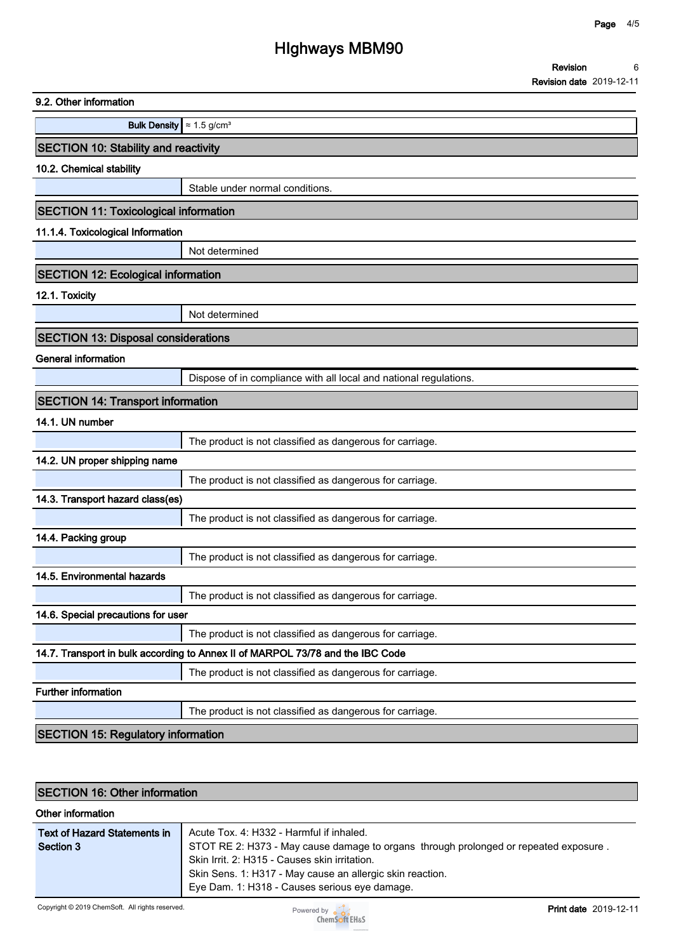| 9.2. Other information                       |                                                                                |
|----------------------------------------------|--------------------------------------------------------------------------------|
| Bulk Density $\approx 1.5$ g/cm <sup>3</sup> |                                                                                |
| <b>SECTION 10: Stability and reactivity</b>  |                                                                                |
| 10.2. Chemical stability                     |                                                                                |
|                                              | Stable under normal conditions.                                                |
| <b>SECTION 11: Toxicological information</b> |                                                                                |
| 11.1.4. Toxicological Information            |                                                                                |
|                                              | Not determined                                                                 |
| <b>SECTION 12: Ecological information</b>    |                                                                                |
| 12.1. Toxicity                               |                                                                                |
|                                              | Not determined                                                                 |
| <b>SECTION 13: Disposal considerations</b>   |                                                                                |
| <b>General information</b>                   |                                                                                |
|                                              | Dispose of in compliance with all local and national regulations.              |
| <b>SECTION 14: Transport information</b>     |                                                                                |
| 14.1. UN number                              |                                                                                |
|                                              | The product is not classified as dangerous for carriage.                       |
| 14.2. UN proper shipping name                |                                                                                |
|                                              | The product is not classified as dangerous for carriage.                       |
| 14.3. Transport hazard class(es)             |                                                                                |
|                                              | The product is not classified as dangerous for carriage.                       |
| 14.4. Packing group                          |                                                                                |
|                                              | The product is not classified as dangerous for carriage.                       |
| 14.5. Environmental hazards                  |                                                                                |
|                                              | The product is not classified as dangerous for carriage.                       |
| 14.6. Special precautions for user           |                                                                                |
|                                              | The product is not classified as dangerous for carriage.                       |
|                                              | 14.7. Transport in bulk according to Annex II of MARPOL 73/78 and the IBC Code |
| <b>Further information</b>                   | The product is not classified as dangerous for carriage.                       |
|                                              | The product is not classified as dangerous for carriage.                       |
|                                              |                                                                                |
| <b>SECTION 15: Regulatory information</b>    |                                                                                |

# **SECTION 16: Other information**

| Other information            |                                                                                      |
|------------------------------|--------------------------------------------------------------------------------------|
| Text of Hazard Statements in | Acute Tox. 4: H332 - Harmful if inhaled.                                             |
| Section 3                    | STOT RE 2: H373 - May cause damage to organs through prolonged or repeated exposure. |
|                              | Skin Irrit. 2: H315 - Causes skin irritation.                                        |
|                              | Skin Sens. 1: H317 - May cause an allergic skin reaction.                            |
|                              | Eye Dam. 1: H318 - Causes serious eye damage.                                        |